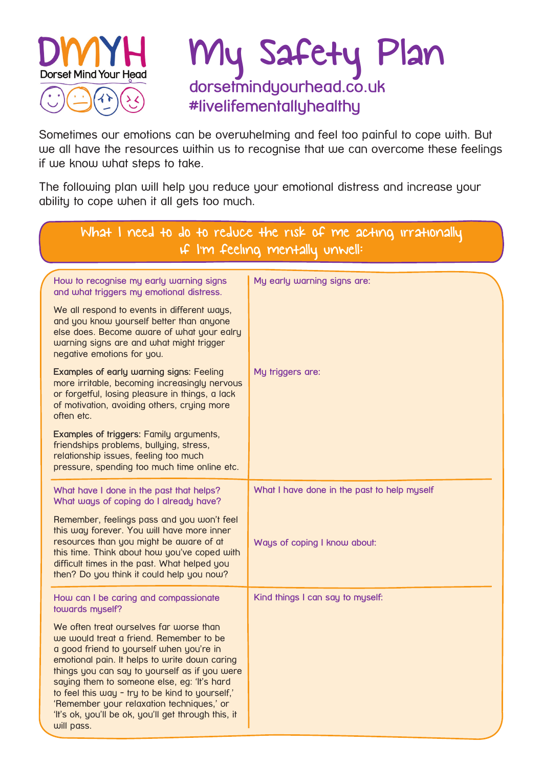

## My Safety Plan **dorsetmindyourhead.co.uk #livelifementallyhealthy**

Sometimes our emotions can be overwhelming and feel too painful to cope with. But we all have the resources within us to recognise that we can overcome these feelings if we know what steps to take.

The following plan will help you reduce your emotional distress and increase your ability to cope when it all gets too much.

| What I need to do to reduce the risk of me acting irrationally<br>If I'm feeling mentally unwell:                                                                                                                                                                                                                                                                                                                                                    |                                             |
|------------------------------------------------------------------------------------------------------------------------------------------------------------------------------------------------------------------------------------------------------------------------------------------------------------------------------------------------------------------------------------------------------------------------------------------------------|---------------------------------------------|
| How to recognise my early warning signs<br>and what triggers my emotional distress.                                                                                                                                                                                                                                                                                                                                                                  | My early warning signs are:                 |
| We all respond to events in different ways,<br>and you know yourself better than anyone<br>else does. Become aware of what your ealry<br>warning signs are and what might trigger<br>negative emotions for you.                                                                                                                                                                                                                                      |                                             |
| Examples of early warning signs: Feeling<br>more irritable, becoming increasingly nervous<br>or forgetful, losing pleasure in things, a lack<br>of motivation, avoiding others, crying more<br>often etc.                                                                                                                                                                                                                                            | My triggers are:                            |
| Examples of triggers: Family arguments,<br>friendships problems, bullying, stress,<br>relationship issues, feeling too much<br>pressure, spending too much time online etc.                                                                                                                                                                                                                                                                          |                                             |
| What have I done in the past that helps?<br>What ways of coping do I already have?                                                                                                                                                                                                                                                                                                                                                                   | What I have done in the past to help myself |
| Remember, feelings pass and you won't feel<br>this way forever. You will have more inner<br>resources than you might be aware of at<br>this time. Think about how you've coped with<br>difficult times in the past. What helped you<br>then? Do you think it could help you now?                                                                                                                                                                     | Ways of coping I know about:                |
| How can I be caring and compassionate<br>towards myself?                                                                                                                                                                                                                                                                                                                                                                                             | Kind things I can say to myself:            |
| We often treat ourselves far worse than<br>we would treat a friend. Remember to be<br>a good friend to yourself when you're in<br>emotional pain. It helps to write down caring<br>things you can say to yourself as if you were<br>saying them to someone else, eg: 'It's hard<br>to feel this way - try to be kind to yourself,'<br>'Remember your relaxation techniques,' or<br>'It's ok, you'll be ok, you'll get through this, it<br>will pass. |                                             |